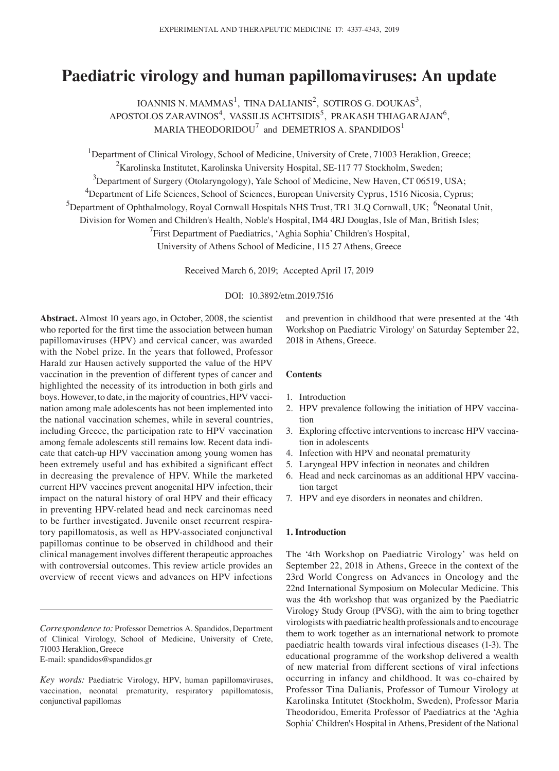# **Paediatric virology and human papillomaviruses: An update**

IOANNIS N. MAMMAS<sup>1</sup>, TINA DALIANIS<sup>2</sup>, SOTIROS G. DOUKAS<sup>3</sup>, APOSTOLOS ZARAVINOS<sup>4</sup>, VASSILIS ACHTSIDIS<sup>5</sup>, PRAKASH THIAGARAJAN<sup>6</sup>, MARIA THEODORIDOU<sup>7</sup> and DEMETRIOS A. SPANDIDOS<sup>1</sup>

<sup>1</sup>Department of Clinical Virology, School of Medicine, University of Crete, 71003 Heraklion, Greece;  $^2$ Karolinska Institutet, Karolinska University Hospital, SE-117 77 Stockholm, Sweden; <sup>3</sup>Department of Surgery (Otolaryngology), Yale School of Medicine, New Haven, CT 06519, USA; <sup>4</sup>Department of Life Sciences, School of Sciences, European University Cyprus, 1516 Nicosia, Cyprus;  $^5$ Department of Ophthalmology, Royal Cornwall Hospitals NHS Trust, TR1 3LQ Cornwall, UK;  $^6$ Neonatal Unit, Division for Women and Children's Health, Noble's Hospital, IM4 4RJ Douglas, Isle of Man, British Isles; <sup>7</sup>First Department of Paediatrics, 'Aghia Sophia' Children's Hospital, University of Athens School of Medicine, 115 27 Athens, Greece

Received March 6, 2019; Accepted April 17, 2019

DOI: 10.3892/etm.2019.7516

**Abstract.** Almost 10 years ago, in October, 2008, the scientist who reported for the first time the association between human papillomaviruses (HPV) and cervical cancer, was awarded with the Nobel prize. In the years that followed, Professor Harald zur Hausen actively supported the value of the HPV vaccination in the prevention of different types of cancer and highlighted the necessity of its introduction in both girls and boys. However, to date, in the majority of countries, HPV vaccination among male adolescents has not been implemented into the national vaccination schemes, while in several countries, including Greece, the participation rate to HPV vaccination among female adolescents still remains low. Recent data indicate that catch-up HPV vaccination among young women has been extremely useful and has exhibited a significant effect in decreasing the prevalence of HPV. While the marketed current HPV vaccines prevent anogenital HPV infection, their impact on the natural history of oral HPV and their efficacy in preventing HPV-related head and neck carcinomas need to be further investigated. Juvenile onset recurrent respiratory papillomatosis, as well as HPV‑associated conjunctival papillomas continue to be observed in childhood and their clinical management involves different therapeutic approaches with controversial outcomes. This review article provides an overview of recent views and advances on HPV infections

E-mail: spandidos@spandidos.gr

and prevention in childhood that were presented at the '4th Workshop on Paediatric Virology' on Saturday September 22, 2018 in Athens, Greece.

## **Contents**

- 1. Introduction
- 2. HPV prevalence following the initiation of HPV vaccination
- 3. Exploring effective interventions to increase HPV vaccination in adolescents
- 4. Infection with HPV and neonatal prematurity
- 5. Laryngeal HPV infection in neonates and children
- 6. Head and neck carcinomas as an additional HPV vaccination target
- 7. HPV and eye disorders in neonates and children.

## **1. Introduction**

The '4th Workshop on Paediatric Virology' was held on September 22, 2018 in Athens, Greece in the context of the 23rd World Congress on Advances in Oncology and the 22nd International Symposium on Molecular Medicine. This was the 4th workshop that was organized by the Paediatric Virology Study Group (PVSG), with the aim to bring together virologists with paediatric health professionals and to encourage them to work together as an international network to promote paediatric health towards viral infectious diseases (1‑3). The educational programme of the workshop delivered a wealth of new material from different sections of viral infections occurring in infancy and childhood. It was co‑chaired by Professor Tina Dalianis, Professor of Tumour Virology at Karolinska Intitutet (Stockholm, Sweden), Professor Maria Theodoridou, Emerita Professor of Paediatrics at the 'Aghia Sophia' Children's Hospital in Athens, President of the National

*Correspondence to:* Professor Demetrios A. Spandidos, Department of Clinical Virology, School of Medicine, University of Crete, 71003 Heraklion, Greece

*Key words:* Paediatric Virology, HPV, human papillomaviruses, vaccination, neonatal prematurity, respiratory papillomatosis, conjunctival papillomas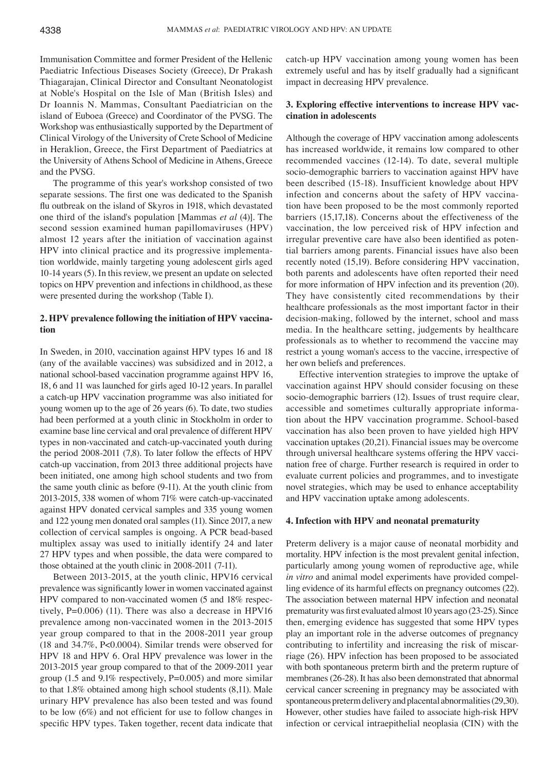Immunisation Committee and former President of the Hellenic Paediatric Infectious Diseases Society (Greece), Dr Prakash Thiagarajan, Clinical Director and Consultant Neonatologist at Noble's Hospital on the Isle of Man (British Isles) and Dr Ioannis N. Mammas, Consultant Paediatrician on the island of Euboea (Greece) and Coordinator of the PVSG. The Workshop was enthusiastically supported by the Department of Clinical Virology of the University of Crete School of Medicine in Heraklion, Greece, the First Department of Paediatrics at the University of Athens School of Medicine in Athens, Greece and the PVSG.

The programme of this year's workshop consisted of two separate sessions. The first one was dedicated to the Spanish flu outbreak on the island of Skyros in 1918, which devastated one third of the island's population [Mammas *et al* (4)]. The second session examined human papillomaviruses (HPV) almost 12 years after the initiation of vaccination against HPV into clinical practice and its progressive implementation worldwide, mainly targeting young adolescent girls aged 10‑14 years (5). In this review, we present an update on selected topics on HPV prevention and infections in childhood, as these were presented during the workshop (Table I).

## **2. HPV prevalence following the initiation of HPV vaccination**

In Sweden, in 2010, vaccination against HPV types 16 and 18 (any of the available vaccines) was subsidized and in 2012, a national school-based vaccination programme against HPV 16, 18, 6 and 11 was launched for girls aged 10‑12 years. In parallel a catch‑up HPV vaccination programme was also initiated for young women up to the age of 26 years (6). To date, two studies had been performed at a youth clinic in Stockholm in order to examine base line cervical and oral prevalence of different HPV types in non-vaccinated and catch-up-vaccinated youth during the period 2008‑2011 (7,8). To later follow the effects of HPV catch‑up vaccination, from 2013 three additional projects have been initiated, one among high school students and two from the same youth clinic as before (9‑11). At the youth clinic from 2013‑2015, 338 women of whom 71% were catch‑up‑vaccinated against HPV donated cervical samples and 335 young women and 122 young men donated oral samples(11). Since 2017, a new collection of cervical samples is ongoing. A PCR bead-based multiplex assay was used to initially identify 24 and later 27 HPV types and when possible, the data were compared to those obtained at the youth clinic in 2008‑2011 (7‑11).

Between 2013‑2015, at the youth clinic, HPV16 cervical prevalence was significantly lower in women vaccinated against HPV compared to non‑vaccinated women (5 and 18% respectively, P=0.006) (11). There was also a decrease in HPV16 prevalence among non-vaccinated women in the 2013-2015 year group compared to that in the 2008‑2011 year group (18 and 34.7%, P<0.0004). Similar trends were observed for HPV 18 and HPV 6. Oral HPV prevalence was lower in the 2013‑2015 year group compared to that of the 2009‑2011 year group (1.5 and 9.1% respectively, P=0.005) and more similar to that 1.8% obtained among high school students (8,11). Male urinary HPV prevalence has also been tested and was found to be low (6%) and not efficient for use to follow changes in specific HPV types. Taken together, recent data indicate that catch-up HPV vaccination among young women has been extremely useful and has by itself gradually had a significant impact in decreasing HPV prevalence.

## **3. Exploring effective interventions to increase HPV vaccination in adolescents**

Although the coverage of HPV vaccination among adolescents has increased worldwide, it remains low compared to other recommended vaccines (12‑14). To date, several multiple socio-demographic barriers to vaccination against HPV have been described (15‑18). Insufficient knowledge about HPV infection and concerns about the safety of HPV vaccination have been proposed to be the most commonly reported barriers (15,17,18). Concerns about the effectiveness of the vaccination, the low perceived risk of HPV infection and irregular preventive care have also been identified as potential barriers among parents. Financial issues have also been recently noted (15,19). Before considering HPV vaccination, both parents and adolescents have often reported their need for more information of HPV infection and its prevention (20). They have consistently cited recommendations by their healthcare professionals as the most important factor in their decision-making, followed by the internet, school and mass media. In the healthcare setting, judgements by healthcare professionals as to whether to recommend the vaccine may restrict a young woman's access to the vaccine, irrespective of her own beliefs and preferences.

Effective intervention strategies to improve the uptake of vaccination against HPV should consider focusing on these socio-demographic barriers (12). Issues of trust require clear, accessible and sometimes culturally appropriate information about the HPV vaccination programme. School-based vaccination has also been proven to have yielded high HPV vaccination uptakes (20,21). Financial issues may be overcome through universal healthcare systems offering the HPV vaccination free of charge. Further research is required in order to evaluate current policies and programmes, and to investigate novel strategies, which may be used to enhance acceptability and HPV vaccination uptake among adolescents.

## **4. Infection with HPV and neonatal prematurity**

Preterm delivery is a major cause of neonatal morbidity and mortality. HPV infection is the most prevalent genital infection, particularly among young women of reproductive age, while *in vitro* and animal model experiments have provided compelling evidence of its harmful effects on pregnancy outcomes (22). The association between maternal HPV infection and neonatal prematurity was first evaluated almost 10 years ago (23‑25). Since then, emerging evidence has suggested that some HPV types play an important role in the adverse outcomes of pregnancy contributing to infertility and increasing the risk of miscarriage (26). HPV infection has been proposed to be associated with both spontaneous preterm birth and the preterm rupture of membranes (26-28). It has also been demonstrated that abnormal cervical cancer screening in pregnancy may be associated with spontaneous preterm delivery and placental abnormalities(29,30). However, other studies have failed to associate high-risk HPV infection or cervical intraepithelial neoplasia (CIN) with the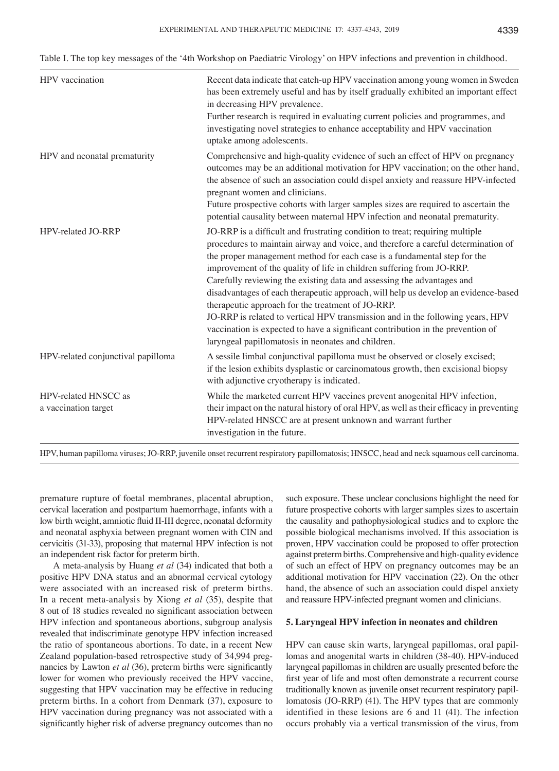| HPV vaccination                              | Recent data indicate that catch-up HPV vaccination among young women in Sweden<br>has been extremely useful and has by itself gradually exhibited an important effect<br>in decreasing HPV prevalence.<br>Further research is required in evaluating current policies and programmes, and<br>investigating novel strategies to enhance acceptability and HPV vaccination<br>uptake among adolescents.                                                                                                                                                                                                                                                                                                                                                                  |
|----------------------------------------------|------------------------------------------------------------------------------------------------------------------------------------------------------------------------------------------------------------------------------------------------------------------------------------------------------------------------------------------------------------------------------------------------------------------------------------------------------------------------------------------------------------------------------------------------------------------------------------------------------------------------------------------------------------------------------------------------------------------------------------------------------------------------|
| HPV and neonatal prematurity                 | Comprehensive and high-quality evidence of such an effect of HPV on pregnancy<br>outcomes may be an additional motivation for HPV vaccination; on the other hand,<br>the absence of such an association could dispel anxiety and reassure HPV-infected<br>pregnant women and clinicians.<br>Future prospective cohorts with larger samples sizes are required to ascertain the<br>potential causality between maternal HPV infection and neonatal prematurity.                                                                                                                                                                                                                                                                                                         |
| HPV-related JO-RRP                           | JO-RRP is a difficult and frustrating condition to treat; requiring multiple<br>procedures to maintain airway and voice, and therefore a careful determination of<br>the proper management method for each case is a fundamental step for the<br>improvement of the quality of life in children suffering from JO-RRP.<br>Carefully reviewing the existing data and assessing the advantages and<br>disadvantages of each therapeutic approach, will help us develop an evidence-based<br>therapeutic approach for the treatment of JO-RRP.<br>JO-RRP is related to vertical HPV transmission and in the following years, HPV<br>vaccination is expected to have a significant contribution in the prevention of<br>laryngeal papillomatosis in neonates and children. |
| HPV-related conjunctival papilloma           | A sessile limbal conjunctival papilloma must be observed or closely excised;<br>if the lesion exhibits dysplastic or carcinomatous growth, then excisional biopsy<br>with adjunctive cryotherapy is indicated.                                                                                                                                                                                                                                                                                                                                                                                                                                                                                                                                                         |
| HPV-related HNSCC as<br>a vaccination target | While the marketed current HPV vaccines prevent anogenital HPV infection,<br>their impact on the natural history of oral HPV, as well as their efficacy in preventing<br>HPV-related HNSCC are at present unknown and warrant further<br>investigation in the future.                                                                                                                                                                                                                                                                                                                                                                                                                                                                                                  |

HPV, human papilloma viruses; JO-RRP, juvenile onset recurrent respiratory papillomatosis; HNSCC, head and neck squamous cell carcinoma.

premature rupture of foetal membranes, placental abruption, cervical laceration and postpartum haemorrhage, infants with a low birth weight, amniotic fluid II‑III degree, neonatal deformity and neonatal asphyxia between pregnant women with CIN and cervicitis (31‑33), proposing that maternal HPV infection is not an independent risk factor for preterm birth.

A meta‑analysis by Huang *et al* (34) indicated that both a positive HPV DNA status and an abnormal cervical cytology were associated with an increased risk of preterm births. In a recent meta-analysis by Xiong *et al* (35), despite that 8 out of 18 studies revealed no significant association between HPV infection and spontaneous abortions, subgroup analysis revealed that indiscriminate genotype HPV infection increased the ratio of spontaneous abortions. To date, in a recent New Zealand population-based retrospective study of 34,994 pregnancies by Lawton *et al* (36), preterm births were significantly lower for women who previously received the HPV vaccine, suggesting that HPV vaccination may be effective in reducing preterm births. In a cohort from Denmark (37), exposure to HPV vaccination during pregnancy was not associated with a significantly higher risk of adverse pregnancy outcomes than no

such exposure. These unclear conclusions highlight the need for future prospective cohorts with larger samples sizes to ascertain the causality and pathophysiological studies and to explore the possible biological mechanisms involved. If this association is proven, HPV vaccination could be proposed to offer protection against preterm births. Comprehensive and high-quality evidence of such an effect of HPV on pregnancy outcomes may be an additional motivation for HPV vaccination (22). On the other hand, the absence of such an association could dispel anxiety and reassure HPV‑infected pregnant women and clinicians.

#### **5. Laryngeal HPV infection in neonates and children**

HPV can cause skin warts, laryngeal papillomas, oral papillomas and anogenital warts in children (38‑40). HPV‑induced laryngeal papillomas in children are usually presented before the first year of life and most often demonstrate a recurrent course traditionally known as juvenile onset recurrent respiratory papillomatosis (JO-RRP) (41). The HPV types that are commonly identified in these lesions are 6 and 11 (41). The infection occurs probably via a vertical transmission of the virus, from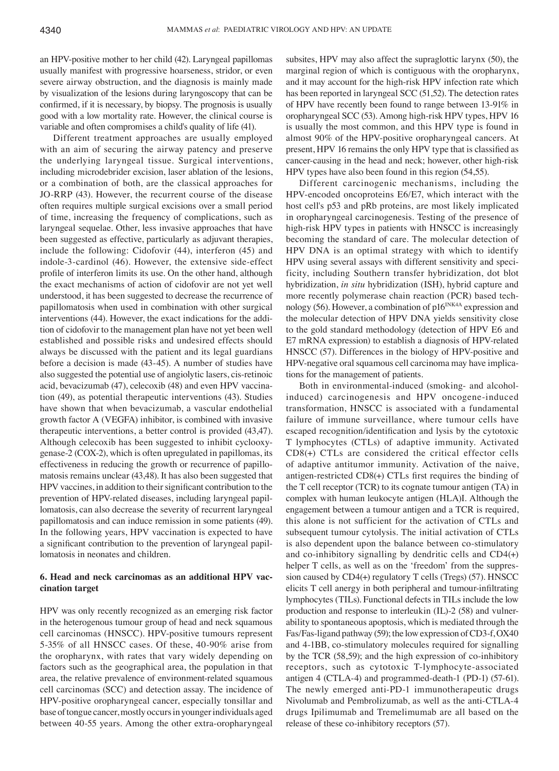an HPV‑positive mother to her child (42). Laryngeal papillomas usually manifest with progressive hoarseness, stridor, or even severe airway obstruction, and the diagnosis is mainly made by visualization of the lesions during laryngoscopy that can be confirmed, if it is necessary, by biopsy. The prognosis is usually good with a low mortality rate. However, the clinical course is variable and often compromises a child's quality of life (41).

Different treatment approaches are usually employed with an aim of securing the airway patency and preserve the underlying laryngeal tissue. Surgical interventions, including microdebrider excision, laser ablation of the lesions, or a combination of both, are the classical approaches for JO‑RRP (43). However, the recurrent course of the disease often requires multiple surgical excisions over a small period of time, increasing the frequency of complications, such as laryngeal sequelae. Other, less invasive approaches that have been suggested as effective, particularly as adjuvant therapies, include the following: Cidofovir (44), interferon (45) and indole-3-cardinol (46). However, the extensive side-effect profile of interferon limits its use. On the other hand, although the exact mechanisms of action of cidofovir are not yet well understood, it has been suggested to decrease the recurrence of papillomatosis when used in combination with other surgical interventions (44). However, the exact indications for the addition of cidofovir to the management plan have not yet been well established and possible risks and undesired effects should always be discussed with the patient and its legal guardians before a decision is made (43‑45). A number of studies have also suggested the potential use of angiolytic lasers, cis‑retinoic acid, bevacizumab (47), celecoxib (48) and even HPV vaccination (49), as potential therapeutic interventions (43). Studies have shown that when bevacizumab, a vascular endothelial growth factor A (VEGFA) inhibitor, is combined with invasive therapeutic interventions, a better control is provided (43,47). Although celecoxib has been suggested to inhibit cyclooxygenase‑2 (COX‑2), which is often upregulated in papillomas, its effectiveness in reducing the growth or recurrence of papillomatosis remains unclear (43,48). It has also been suggested that HPV vaccines, in addition to their significant contribution to the prevention of HPV‑related diseases, including laryngeal papillomatosis, can also decrease the severity of recurrent laryngeal papillomatosis and can induce remission in some patients (49). In the following years, HPV vaccination is expected to have a significant contribution to the prevention of laryngeal papillomatosis in neonates and children.

## **6. Head and neck carcinomas as an additional HPV vaccination target**

HPV was only recently recognized as an emerging risk factor in the heterogenous tumour group of head and neck squamous cell carcinomas (HNSCC). HPV‑positive tumours represent 5‑35% of all HNSCC cases. Of these, 40‑90% arise from the oropharynx, with rates that vary widely depending on factors such as the geographical area, the population in that area, the relative prevalence of environment-related squamous cell carcinomas (SCC) and detection assay. The incidence of HPV‑positive oropharyngeal cancer, especially tonsillar and base of tongue cancer, mostly occurs in younger individuals aged between 40-55 years. Among the other extra-oropharyngeal subsites, HPV may also affect the supraglottic larynx (50), the marginal region of which is contiguous with the oropharynx, and it may account for the high-risk HPV infection rate which has been reported in laryngeal SCC (51,52). The detection rates of HPV have recently been found to range between 13‑91% in oropharyngeal SCC (53). Among high-risk HPV types, HPV 16 is usually the most common, and this HPV type is found in almost 90% of the HPV‑positive oropharyngeal cancers. At present, HPV 16 remains the only HPV type that is classified as cancer-causing in the head and neck; however, other high-risk HPV types have also been found in this region (54,55).

Different carcinogenic mechanisms, including the HPV-encoded oncoproteins E6/E7, which interact with the host cell's p53 and pRb proteins, are most likely implicated in oropharyngeal carcinogenesis. Testing of the presence of high-risk HPV types in patients with HNSCC is increasingly becoming the standard of care. The molecular detection of HPV DNA is an optimal strategy with which to identify HPV using several assays with different sensitivity and specificity, including Southern transfer hybridization, dot blot hybridization, *in situ* hybridization (ISH), hybrid capture and more recently polymerase chain reaction (PCR) based technology (56). However, a combination of  $p16^{INKA}$  expression and the molecular detection of HPV DNA yields sensitivity close to the gold standard methodology (detection of HPV E6 and E7 mRNA expression) to establish a diagnosis of HPV-related HNSCC (57). Differences in the biology of HPV-positive and HPV-negative oral squamous cell carcinoma may have implications for the management of patients.

Both in environmental-induced (smoking- and alcoholinduced) carcinogenesis and HPV oncogene-induced transformation, HNSCC is associated with a fundamental failure of immune surveillance, where tumour cells have escaped recognition/identification and lysis by the cytotoxic T lymphocytes (CTLs) of adaptive immunity. Activated CD8(+) CTLs are considered the critical effector cells of adaptive antitumor immunity. Activation of the naive, antigen-restricted  $CD8(+)$  CTLs first requires the binding of the T cell receptor (TCR) to its cognate tumour antigen (TA) in complex with human leukocyte antigen (HLA)I. Although the engagement between a tumour antigen and a TCR is required, this alone is not sufficient for the activation of CTLs and subsequent tumour cytolysis. The initial activation of CTLs is also dependent upon the balance between co-stimulatory and co-inhibitory signalling by dendritic cells and  $CD4(+)$ helper T cells, as well as on the 'freedom' from the suppression caused by CD4(+) regulatory T cells (Tregs) (57). HNSCC elicits T cell anergy in both peripheral and tumour‑infiltrating lymphocytes (TILs). Functional defects in TILs include the low production and response to interleukin (IL)-2 (58) and vulnerability to spontaneous apoptosis, which is mediated through the Fas/Fas-ligand pathway (59); the low expression of CD3-f, OX40 and 4‑1BB, co‑stimulatory molecules required for signalling by the TCR (58,59); and the high expression of co-inhibitory receptors, such as cytotoxic T‑lymphocyte‑associated antigen 4 (CTLA-4) and programmed-death-1 (PD-1) (57-61). The newly emerged anti-PD-1 immunotherapeutic drugs Nivolumab and Pembrolizumab, as well as the anti‑CTLA‑4 drugs Ipilimumab and Tremelimumab are all based on the release of these co-inhibitory receptors (57).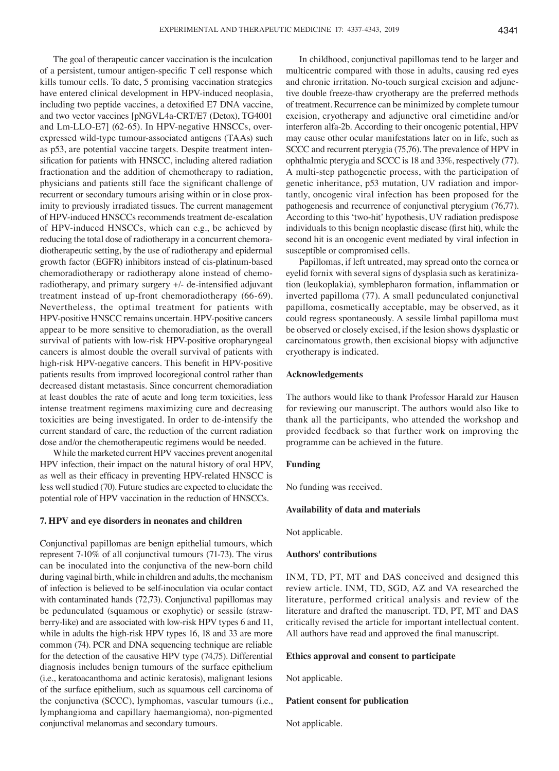The goal of therapeutic cancer vaccination is the inculcation of a persistent, tumour antigen‑specific T cell response which kills tumour cells. To date, 5 promising vaccination strategies have entered clinical development in HPV-induced neoplasia, including two peptide vaccines, a detoxified E7 DNA vaccine, and two vector vaccines [pNGVL4a‑CRT/E7 (Detox), TG4001 and Lm-LLO-E7] (62-65). In HPV-negative HNSCCs, overexpressed wild‑type tumour‑associated antigens (TAAs) such as p53, are potential vaccine targets. Despite treatment intensification for patients with HNSCC, including altered radiation fractionation and the addition of chemotherapy to radiation, physicians and patients still face the significant challenge of recurrent or secondary tumours arising within or in close proximity to previously irradiated tissues. The current management of HPV‑induced HNSCCs recommends treatment de‑escalation of HPV‑induced HNSCCs, which can e.g., be achieved by reducing the total dose of radiotherapy in a concurrent chemoradiotherapeutic setting, by the use of radiotherapy and epidermal growth factor (EGFR) inhibitors instead of cis-platinum-based chemoradiotherapy or radiotherapy alone instead of chemoradiotherapy, and primary surgery +/‑ de‑intensified adjuvant treatment instead of up-front chemoradiotherapy (66-69). Nevertheless, the optimal treatment for patients with HPV‑positive HNSCC remains uncertain. HPV‑positive cancers appear to be more sensitive to chemoradiation, as the overall survival of patients with low-risk HPV-positive oropharyngeal cancers is almost double the overall survival of patients with high-risk HPV-negative cancers. This benefit in HPV-positive patients results from improved locoregional control rather than decreased distant metastasis. Since concurrent chemoradiation at least doubles the rate of acute and long term toxicities, less intense treatment regimens maximizing cure and decreasing toxicities are being investigated. In order to de-intensify the current standard of care, the reduction of the current radiation dose and/or the chemotherapeutic regimens would be needed.

While the marketed current HPV vaccines prevent anogenital HPV infection, their impact on the natural history of oral HPV, as well as their efficacy in preventing HPV‑related HNSCC is less well studied (70). Future studies are expected to elucidate the potential role of HPV vaccination in the reduction of HNSCCs.

#### **7. HPV and eye disorders in neonates and children**

Conjunctival papillomas are benign epithelial tumours, which represent 7‑10% of all conjunctival tumours (71‑73). The virus can be inoculated into the conjunctiva of the new‑born child during vaginal birth, while in children and adults, the mechanism of infection is believed to be self‑inoculation via ocular contact with contaminated hands (72,73). Conjunctival papillomas may be pedunculated (squamous or exophytic) or sessile (strawberry-like) and are associated with low-risk HPV types 6 and 11, while in adults the high-risk HPV types 16, 18 and 33 are more common (74). PCR and DNA sequencing technique are reliable for the detection of the causative HPV type (74,75). Differential diagnosis includes benign tumours of the surface epithelium (i.e., keratoacanthoma and actinic keratosis), malignant lesions of the surface epithelium, such as squamous cell carcinoma of the conjunctiva (SCCC), lymphomas, vascular tumours (i.e., lymphangioma and capillary haemangioma), non‑pigmented conjunctival melanomas and secondary tumours.

In childhood, conjunctival papillomas tend to be larger and multicentric compared with those in adults, causing red eyes and chronic irritation. No‑touch surgical excision and adjunctive double freeze‑thaw cryotherapy are the preferred methods of treatment. Recurrence can be minimized by complete tumour excision, cryotherapy and adjunctive oral cimetidine and/or interferon alfa‑2b. According to their oncogenic potential, HPV may cause other ocular manifestations later on in life, such as SCCC and recurrent pterygia (75,76). The prevalence of HPV in ophthalmic pterygia and SCCC is 18 and 33%, respectively (77). A multi‑step pathogenetic process, with the participation of genetic inheritance, p53 mutation, UV radiation and importantly, oncogenic viral infection has been proposed for the pathogenesis and recurrence of conjunctival pterygium (76,77). According to this 'two-hit' hypothesis, UV radiation predispose individuals to this benign neoplastic disease (first hit), while the second hit is an oncogenic event mediated by viral infection in susceptible or compromised cells.

Papillomas, if left untreated, may spread onto the cornea or eyelid fornix with several signs of dysplasia such as keratinization (leukoplakia), symblepharon formation, inflammation or inverted papilloma (77). A small pedunculated conjunctival papilloma, cosmetically acceptable, may be observed, as it could regress spontaneously. A sessile limbal papilloma must be observed or closely excised, if the lesion shows dysplastic or carcinomatous growth, then excisional biopsy with adjunctive cryotherapy is indicated.

#### **Acknowledgements**

The authors would like to thank Professor Harald zur Hausen for reviewing our manuscript. The authors would also like to thank all the participants, who attended the workshop and provided feedback so that further work on improving the programme can be achieved in the future.

#### **Funding**

No funding was received.

#### **Availability of data and materials**

Not applicable.

#### **Authors' contributions**

INM, TD, PT, MT and DAS conceived and designed this review article. INM, TD, SGD, AZ and VA researched the literature, performed critical analysis and review of the literature and drafted the manuscript. TD, PT, MT and DAS critically revised the article for important intellectual content. All authors have read and approved the final manuscript.

## **Ethics approval and consent to participate**

Not applicable.

## **Patient consent for publication**

Not applicable.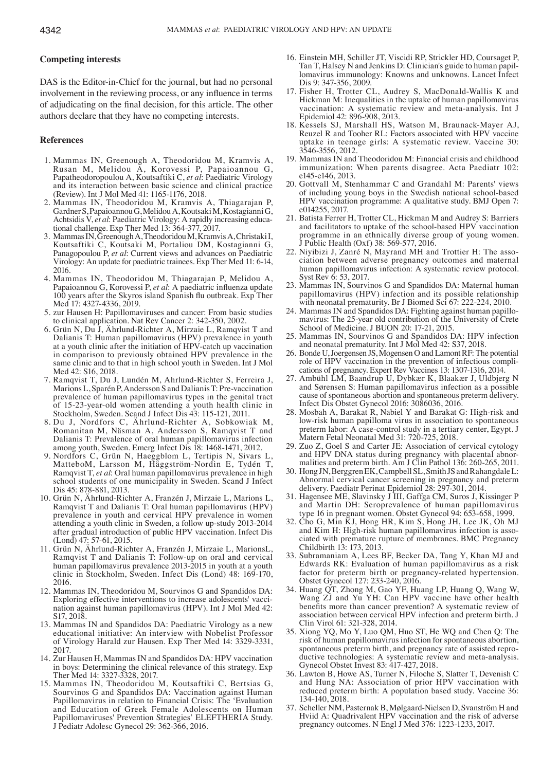## **Competing interests**

DAS is the Editor-in-Chief for the journal, but had no personal involvement in the reviewing process, or any influence in terms of adjudicating on the final decision, for this article. The other authors declare that they have no competing interests.

#### **References**

- 1. Mammas IN, Greenough A, Theodoridou M, Kramvis A, Rusan M, Melidou A, Korovessi P, Papaioannou G, Papatheodoropoulou A, Koutsaftiki C, *et al*: Paediatric Virology and its interaction between basic science and clinical practice (Review). Int J Mol Med 41: 1165-1176, 2018.
- 2. Mammas IN, Theodoridou M, Kramvis A, Thiagarajan P, GardnerS, Papaioannou G, Melidou A, KoutsakiM, KostagianniG, Achtsidis V, *et al*: Paediatric Virology: A rapidly increasing educational challenge. Exp Ther Med 13: 364-377, 2017.
- 3. Mammas IN, Greenough A, Theodoridou M, Kramvis A, Christaki I, Koutsaftiki C, Koutsaki M, Portaliou DM, Kostagianni G, Panagopoulou P, *et al*: Current views and advances on Paediatric Virology: An update for paediatric trainees. Exp Ther Med 11: 6-14, 2016.
- 4. Mammas IN, Theodoridou M, Thiagarajan P, Melidou A, Papaioannou G, Korovessi P, *et al*: A paediatric influenza update 100 years after the Skyros island Spanish flu outbreak. Exp Ther Med 17: 4327-4336, 2019.
- 5. zur Hausen H: Papillomaviruses and cancer: From basic studies to clinical application. Nat Rev Cancer 2: 342-350, 2002.
- 6. Grün N, Du J, Ährlund-Richter A, Mirzaie L, Ramqvist T and Dalianis T: Human papillomavirus (HPV) prevalence in youth at a youth clinic after the initiation of HPV-catch up vaccination in comparison to previously obtained HPV prevalence in the same clinic and to that in high school youth in Sweden. Int J Mol Med 42: S16, 2018.
- 7. Ramqvist T, Du J, Lundén M, Ahrlund-Richter S, Ferreira J, MarionsL, Sparén P, Andersson S and Dalianis T: Pre-vaccination prevalence of human papillomavirus types in the genital tract of 15-23-year-old women attending a youth health clinic in Stockholm, Sweden. Scand J Infect Dis 43: 115-121, 2011.
- 8. Du J, Nordfors C, Ährlund-Richter A, Sobkowiak M, Romanitan M, Näsman A, Andersson S, Ramqvist T and Dalianis T: Prevalence of oral human papillomavirus infection among youth, Sweden. Emerg Infect Dis 18: 1468-1471, 2012.
- 9. Nordfors C, Grün N, Haeggblom L, Tertipis N, Sivars L, MatteboM, Larsson M, Häggström-Nordin E, Tydén T, Ramqvist T, *et al*: Oral human papillomavirus prevalence in high school students of one municipality in Sweden. Scand J Infect Dis 45: 878-881, 2013.
- 10. Grün N, Ährlund-Richter A, Franzén J, Mirzaie L, Marions L, Ramqvist T and Dalianis T: Oral human papillomavirus (HPV) prevalence in youth and cervical HPV prevalence in women attending a youth clinic in Sweden, a follow up-study 2013-2014 after gradual introduction of public HPV vaccination. Infect Dis (Lond) 47: 57-61, 2015.
- 11. Grün N, Ährlund-Richter A, Franzén J, Mirzaie L, MarionsL, Ramqvist T and Dalianis T: Follow-up on oral and cervical human papillomavirus prevalence 2013-2015 in youth at a youth clinic in Stockholm, Sweden. Infect Dis (Lond) 48: 169-170, 2016.
- 12. Mammas IN, Theodoridou M, Sourvinos G and Spandidos DA: Exploring effective interventions to increase adolescents' vacci- nation against human papillomavirus (HPV). Int J Mol Med 42: S17, 2018.
- 13. Mammas IN and Spandidos DA: Paediatric Virology as a new educational initiative: An interview with Nobelist Professor of Virology Harald zur Hausen. Exp Ther Med 14: 3329-3331, 2017.
- 14. Zur Hausen H, Mammas IN and Spandidos DA: HPV vaccination in boys: Determining the clinical relevance of this strategy. Exp Ther Med 14: 3327-3328, 2017.
- 15. Mammas IN, Theodoridou M, Koutsaftiki C, Bertsias G, Sourvinos G and Spandidos DA: Vaccination against Human Papillomavirus in relation to Financial Crisis: The 'Evaluation and Education of Greek Female Adolescents on Human Papillomaviruses' Prevention Strategies' ELEFTHERIA Study. J Pediatr Adolesc Gynecol 29: 362-366, 2016.
- 16. Einstein MH, Schiller JT, Viscidi RP, Strickler HD, Coursaget P, Tan T, Halsey N and Jenkins D: Clinician's guide to human papillomavirus immunology: Knowns and unknowns. Lancet Infect Dis 9: 347-356, 2009.
- 17. Fisher H, Trotter CL, Audrey S, MacDonald-Wallis K and Hickman M: Inequalities in the uptake of human papillomavirus vaccination: A systematic review and meta-analysis. Int J Epidemiol 42: 896-908, 2013.
- 18. Kessels SJ, Marshall HS, Watson M, Braunack-Mayer AJ, Reuzel R and Tooher RL: Factors associated with HPV vaccine uptake in teenage girls: A systematic review. Vaccine 30: 3546-3556, 2012.
- 19. Mammas IN and Theodoridou M: Financial crisis and childhood immunization: When parents disagree. Acta Paediatr 102: e145-e146, 2013.
- 20. Gottvall M, Stenhammar C and Grandahl M: Parents' views of including young boys in the Swedish national school-based HPV vaccination programme: A qualitative study. BMJ Open 7: e014255, 2017.
- 21. Batista Ferrer H, Trotter CL, Hickman M and Audrey S: Barriers and facilitators to uptake of the school-based HPV vaccination programme in an ethnically diverse group of young women. Î Public Health (Oxf) 38: 569-577, 2016.
- 22. Niyibizi J, Zanré N, Mayrand MH and Trottier H: The association between adverse pregnancy outcomes and maternal human papillomavirus infection: A systematic review protocol. Syst Rev 6: 53, 2017.
- 23. Mammas IN, Sourvinos G and Spandidos DA: Maternal human papillomavirus (HPV) infection and its possible relationship with neonatal prematurity. Br J Biomed Sci 67: 222-224, 2010.
- 24. Mammas IN and Spandidos DA: Fighting against human papillomavirus: The 25-year old contribution of the University of Crete School of Medicine. J BUON 20: 17-21, 2015.
- 25. Mammas IN, Sourvinos G and Spandidos DA: HPV infection and neonatal prematurity. Int J Mol Med 42: S37, 2018.
- 26. Bonde U, Joergensen JS, Mogensen O and Lamont RF: The potential role of HPV vaccination in the prevention of infectious complications of pregnancy. Expert Rev Vaccines 13: 1307-1316, 2014.
- 27. Ambühl LM, Baandrup U, Dybkær K, Blaakær J, Uldbjerg N and Sørensen S: Human papillomavirus infection as a possible cause of spontaneous abortion and spontaneous preterm delivery. Infect Dis Obstet Gynecol 2016: 3086036, 2016.
- 28. Mosbah A, Barakat R, Nabiel Y and Barakat G: High-risk and low-risk human papilloma virus in association to spontaneous preterm labor: A case-control study in a tertiary center, Egypt. J Matern Fetal Neonatal Med 31: 720-725, 2018.
- 29. Zuo Z, Goel S and Carter JE: Association of cervical cytology and HPV DNA status during pregnancy with placental abnormalities and preterm birth. Am J Clin Pathol 136: 260-265, 2011.
- 30. Hong JN, Berggren EK, Campbell SL, Smith JS and RahangdaleL: Abnormal cervical cancer screening in pregnancy and preterm delivery. Paediatr Perinat Epidemiol 28: 297-301, 2014.
- 31. Hagensee ME, Slavinsky J III, Gaffga CM, Suros J, Kissinger P and Martin DH: Seroprevalence of human papillomavirus type 16 in pregnant women. Obstet Gynecol 94: 653-658, 1999.
- 32. Cho G, Min KJ, Hong HR, Kim S, Hong JH, Lee JK, Oh MJ and Kim H: High-risk human papillomavirus infection is associated with premature rupture of membranes. BMC Pregnancy Childbirth 13: 173, 2013.
- 33. Subramaniam A, Lees BF, Becker DA, Tang Y, Khan MJ and Edwards RK: Evaluation of human papillomavirus as a risk factor for preterm birth or pregnancy-related hypertension. Obstet Gynecol 127: 233-240, 2016.
- 34. Huang QT, Zhong M, Gao YF, Huang LP, Huang Q, Wang W, Wang ZJ and Yu YH: Can HPV vaccine have other health benefits more than cancer prevention? A systematic review of association between cervical HPV infection and preterm birth. J Clin Virol 61: 321-328, 2014.
- 35. Xiong YQ, Mo Y, Luo QM, Huo ST, He WQ and Chen Q: The risk of human papillomavirus infection for spontaneous abortion, spontaneous preterm birth, and pregnancy rate of assisted repro- ductive technologies: A systematic review and meta-analysis. Gynecol Obstet Invest 83: 417-427, 2018.
- 36. Lawton B, Howe AS, Turner N, Filoche S, Slatter T, Devenish C and Hung NA: Association of prior HPV vaccination with reduced preterm birth: A population based study. Vaccine 36: 134-140, 2018.
- 37. Scheller NM, Pasternak B, Mølgaard-Nielsen D, Svanström H and Hviid A: Quadrivalent HPV vaccination and the risk of adverse pregnancy outcomes. N Engl J Med 376: 1223-1233, 2017.